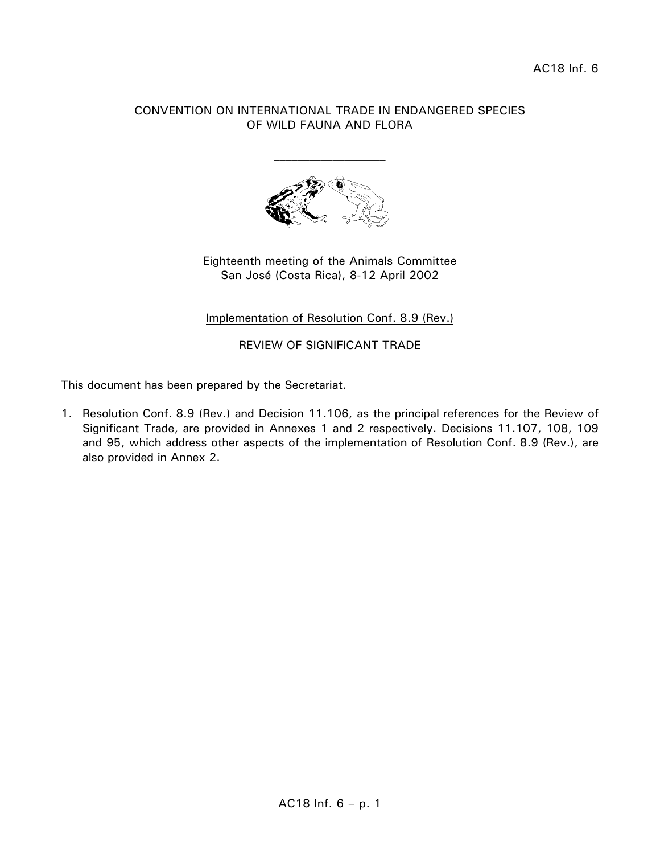## CONVENTION ON INTERNATIONAL TRADE IN ENDANGERED SPECIES OF WILD FAUNA AND FLORA



Eighteenth meeting of the Animals Committee San José (Costa Rica), 8-12 April 2002

# Implementation of Resolution Conf. 8.9 (Rev.)

REVIEW OF SIGNIFICANT TRADE

This document has been prepared by the Secretariat.

1. Resolution Conf. 8.9 (Rev.) and Decision 11.106, as the principal references for the Review of Significant Trade, are provided in Annexes 1 and 2 respectively. Decisions 11.107, 108, 109 and 95, which address other aspects of the implementation of Resolution Conf. 8.9 (Rev.), are also provided in Annex 2.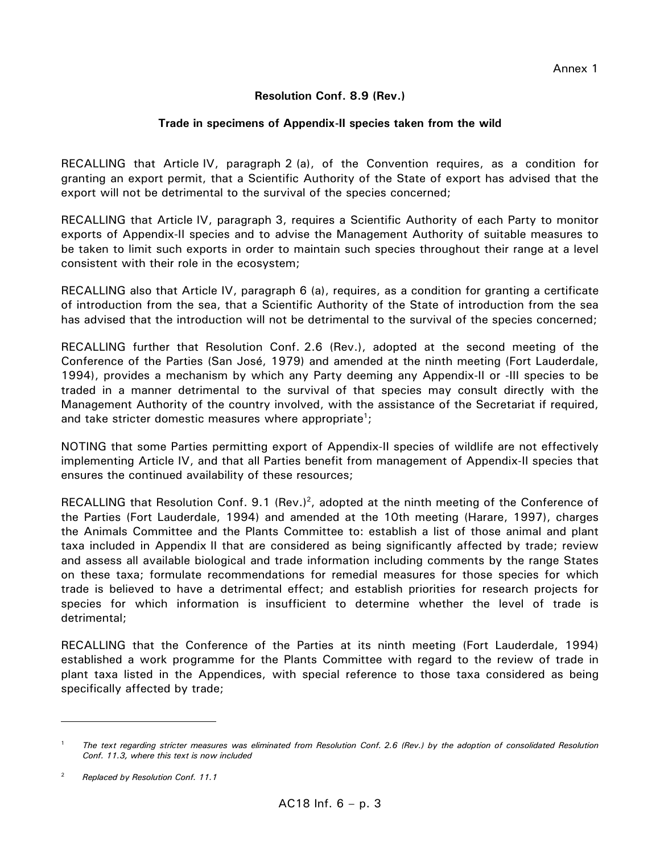## **Resolution Conf. 8.9 (Rev.)**

### **Trade in specimens of Appendix-II species taken from the wild**

RECALLING that Article IV, paragraph 2 (a), of the Convention requires, as a condition for granting an export permit, that a Scientific Authority of the State of export has advised that the export will not be detrimental to the survival of the species concerned;

RECALLING that Article IV, paragraph 3, requires a Scientific Authority of each Party to monitor exports of Appendix-II species and to advise the Management Authority of suitable measures to be taken to limit such exports in order to maintain such species throughout their range at a level consistent with their role in the ecosystem;

RECALLING also that Article IV, paragraph 6 (a), requires, as a condition for granting a certificate of introduction from the sea, that a Scientific Authority of the State of introduction from the sea has advised that the introduction will not be detrimental to the survival of the species concerned;

RECALLING further that Resolution Conf. 2.6 (Rev.), adopted at the second meeting of the Conference of the Parties (San José, 1979) and amended at the ninth meeting (Fort Lauderdale, 1994), provides a mechanism by which any Party deeming any Appendix-II or -III species to be traded in a manner detrimental to the survival of that species may consult directly with the Management Authority of the country involved, with the assistance of the Secretariat if required, and take stricter domestic measures where appropriate<sup>1</sup>;

NOTING that some Parties permitting export of Appendix-II species of wildlife are not effectively implementing Article IV, and that all Parties benefit from management of Appendix-II species that ensures the continued availability of these resources;

RECALLING that Resolution Conf. 9.1 (Rev.)<sup>2</sup>, adopted at the ninth meeting of the Conference of the Parties (Fort Lauderdale, 1994) and amended at the 10th meeting (Harare, 1997), charges the Animals Committee and the Plants Committee to: establish a list of those animal and plant taxa included in Appendix II that are considered as being significantly affected by trade; review and assess all available biological and trade information including comments by the range States on these taxa; formulate recommendations for remedial measures for those species for which trade is believed to have a detrimental effect; and establish priorities for research projects for species for which information is insufficient to determine whether the level of trade is detrimental;

RECALLING that the Conference of the Parties at its ninth meeting (Fort Lauderdale, 1994) established a work programme for the Plants Committee with regard to the review of trade in plant taxa listed in the Appendices, with special reference to those taxa considered as being specifically affected by trade;

<sup>1</sup> *The text regarding stricter measures was eliminated from Resolution Conf. 2.6 (Rev.) by the adoption of consolidated Resolution Conf. 11.3, where this text is now included* 

<sup>2</sup> *Replaced by Resolution Conf. 11.1*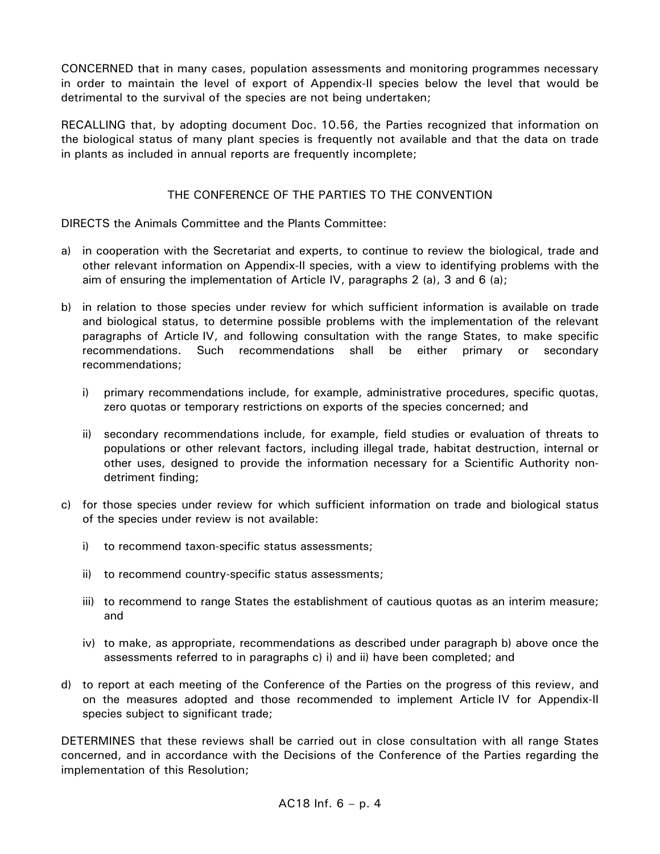CONCERNED that in many cases, population assessments and monitoring programmes necessary in order to maintain the level of export of Appendix-II species below the level that would be detrimental to the survival of the species are not being undertaken;

RECALLING that, by adopting document Doc. 10.56, the Parties recognized that information on the biological status of many plant species is frequently not available and that the data on trade in plants as included in annual reports are frequently incomplete;

# THE CONFERENCE OF THE PARTIES TO THE CONVENTION

DIRECTS the Animals Committee and the Plants Committee:

- a) in cooperation with the Secretariat and experts, to continue to review the biological, trade and other relevant information on Appendix-II species, with a view to identifying problems with the aim of ensuring the implementation of Article IV, paragraphs 2 (a), 3 and 6 (a);
- b) in relation to those species under review for which sufficient information is available on trade and biological status, to determine possible problems with the implementation of the relevant paragraphs of Article IV, and following consultation with the range States, to make specific recommendations. Such recommendations shall be either primary or secondary recommendations;
	- i) primary recommendations include, for example, administrative procedures, specific quotas, zero quotas or temporary restrictions on exports of the species concerned; and
	- ii) secondary recommendations include, for example, field studies or evaluation of threats to populations or other relevant factors, including illegal trade, habitat destruction, internal or other uses, designed to provide the information necessary for a Scientific Authority nondetriment finding;
- c) for those species under review for which sufficient information on trade and biological status of the species under review is not available:
	- i) to recommend taxon-specific status assessments;
	- ii) to recommend country-specific status assessments;
	- iii) to recommend to range States the establishment of cautious quotas as an interim measure; and
	- iv) to make, as appropriate, recommendations as described under paragraph b) above once the assessments referred to in paragraphs c) i) and ii) have been completed; and
- d) to report at each meeting of the Conference of the Parties on the progress of this review, and on the measures adopted and those recommended to implement Article IV for Appendix-II species subject to significant trade;

DETERMINES that these reviews shall be carried out in close consultation with all range States concerned, and in accordance with the Decisions of the Conference of the Parties regarding the implementation of this Resolution;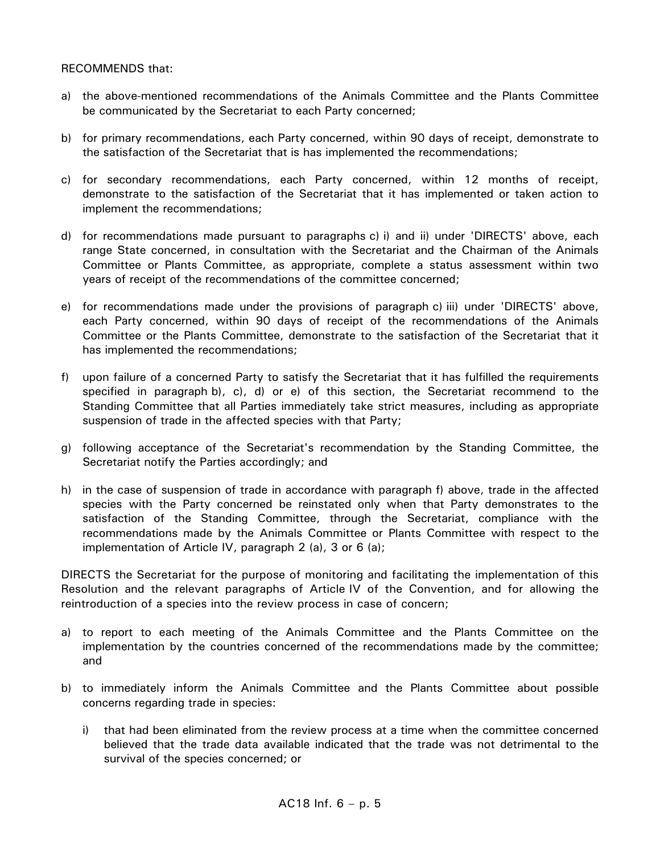#### RECOMMENDS that:

- a) the above-mentioned recommendations of the Animals Committee and the Plants Committee be communicated by the Secretariat to each Party concerned;
- b) for primary recommendations, each Party concerned, within 90 days of receipt, demonstrate to the satisfaction of the Secretariat that is has implemented the recommendations;
- c) for secondary recommendations, each Party concerned, within 12 months of receipt, demonstrate to the satisfaction of the Secretariat that it has implemented or taken action to implement the recommendations;
- d) for recommendations made pursuant to paragraphs c) i) and ii) under 'DIRECTS' above, each range State concerned, in consultation with the Secretariat and the Chairman of the Animals Committee or Plants Committee, as appropriate, complete a status assessment within two years of receipt of the recommendations of the committee concerned;
- e) for recommendations made under the provisions of paragraph c) iii) under 'DIRECTS' above, each Party concerned, within 90 days of receipt of the recommendations of the Animals Committee or the Plants Committee, demonstrate to the satisfaction of the Secretariat that it has implemented the recommendations;
- f) upon failure of a concerned Party to satisfy the Secretariat that it has fulfilled the requirements specified in paragraph b), c), d) or e) of this section, the Secretariat recommend to the Standing Committee that all Parties immediately take strict measures, including as appropriate suspension of trade in the affected species with that Party;
- g) following acceptance of the Secretariat's recommendation by the Standing Committee, the Secretariat notify the Parties accordingly; and
- h) in the case of suspension of trade in accordance with paragraph f) above, trade in the affected species with the Party concerned be reinstated only when that Party demonstrates to the satisfaction of the Standing Committee, through the Secretariat, compliance with the recommendations made by the Animals Committee or Plants Committee with respect to the implementation of Article IV, paragraph 2 (a), 3 or 6 (a);

DIRECTS the Secretariat for the purpose of monitoring and facilitating the implementation of this Resolution and the relevant paragraphs of Article IV of the Convention, and for allowing the reintroduction of a species into the review process in case of concern;

- a) to report to each meeting of the Animals Committee and the Plants Committee on the implementation by the countries concerned of the recommendations made by the committee; and
- b) to immediately inform the Animals Committee and the Plants Committee about possible concerns regarding trade in species:
	- i) that had been eliminated from the review process at a time when the committee concerned believed that the trade data available indicated that the trade was not detrimental to the survival of the species concerned; or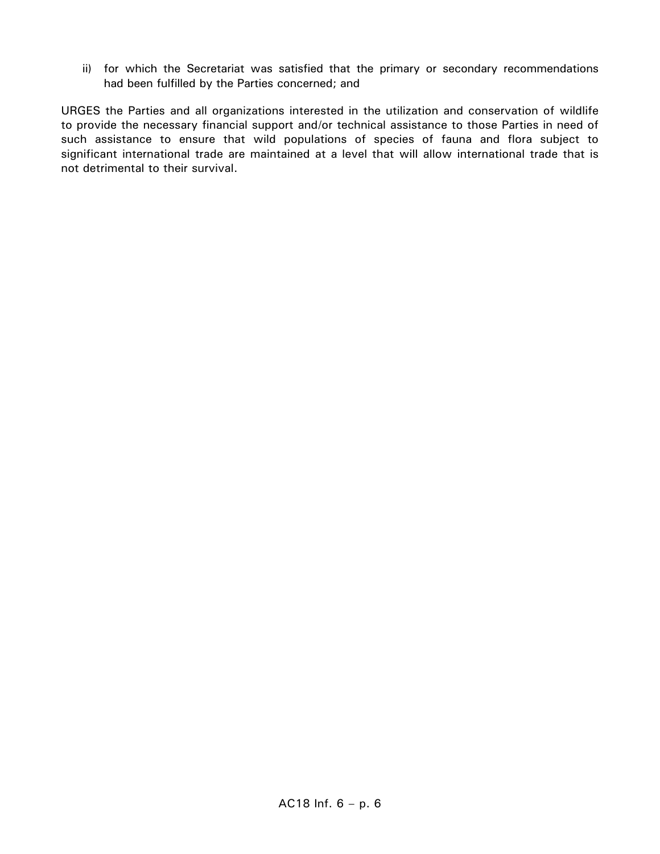ii) for which the Secretariat was satisfied that the primary or secondary recommendations had been fulfilled by the Parties concerned; and

URGES the Parties and all organizations interested in the utilization and conservation of wildlife to provide the necessary financial support and/or technical assistance to those Parties in need of such assistance to ensure that wild populations of species of fauna and flora subject to significant international trade are maintained at a level that will allow international trade that is not detrimental to their survival.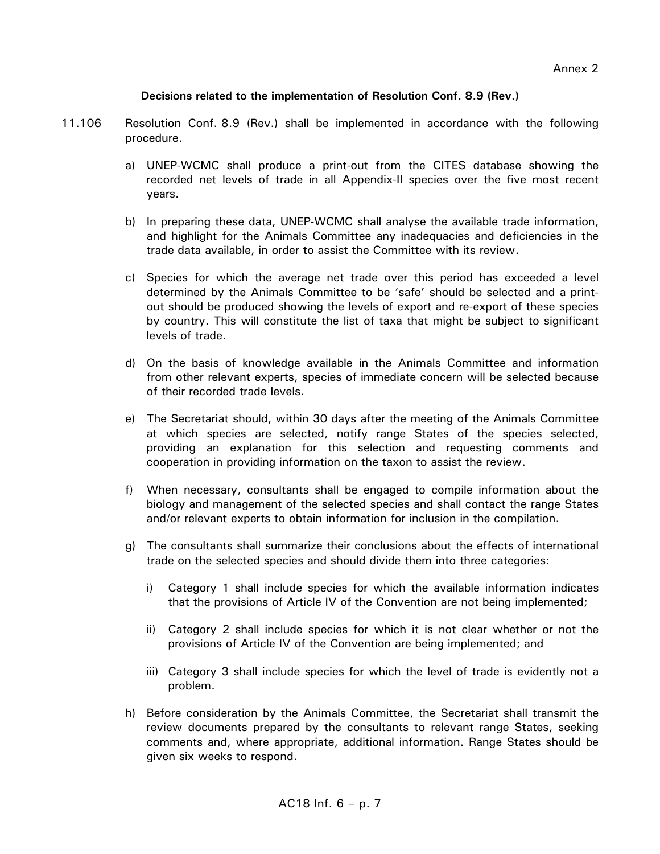### **Decisions related to the implementation of Resolution Conf. 8.9 (Rev.)**

- 11.106 Resolution Conf. 8.9 (Rev.) shall be implemented in accordance with the following procedure.
	- a) UNEP-WCMC shall produce a print-out from the CITES database showing the recorded net levels of trade in all Appendix-II species over the five most recent years.
	- b) In preparing these data, UNEP-WCMC shall analyse the available trade information, and highlight for the Animals Committee any inadequacies and deficiencies in the trade data available, in order to assist the Committee with its review.
	- c) Species for which the average net trade over this period has exceeded a level determined by the Animals Committee to be 'safe' should be selected and a printout should be produced showing the levels of export and re-export of these species by country. This will constitute the list of taxa that might be subject to significant levels of trade.
	- d) On the basis of knowledge available in the Animals Committee and information from other relevant experts, species of immediate concern will be selected because of their recorded trade levels.
	- e) The Secretariat should, within 30 days after the meeting of the Animals Committee at which species are selected, notify range States of the species selected, providing an explanation for this selection and requesting comments and cooperation in providing information on the taxon to assist the review.
	- f) When necessary, consultants shall be engaged to compile information about the biology and management of the selected species and shall contact the range States and/or relevant experts to obtain information for inclusion in the compilation.
	- g) The consultants shall summarize their conclusions about the effects of international trade on the selected species and should divide them into three categories:
		- i) Category 1 shall include species for which the available information indicates that the provisions of Article IV of the Convention are not being implemented;
		- ii) Category 2 shall include species for which it is not clear whether or not the provisions of Article IV of the Convention are being implemented; and
		- iii) Category 3 shall include species for which the level of trade is evidently not a problem.
	- h) Before consideration by the Animals Committee, the Secretariat shall transmit the review documents prepared by the consultants to relevant range States, seeking comments and, where appropriate, additional information. Range States should be given six weeks to respond.